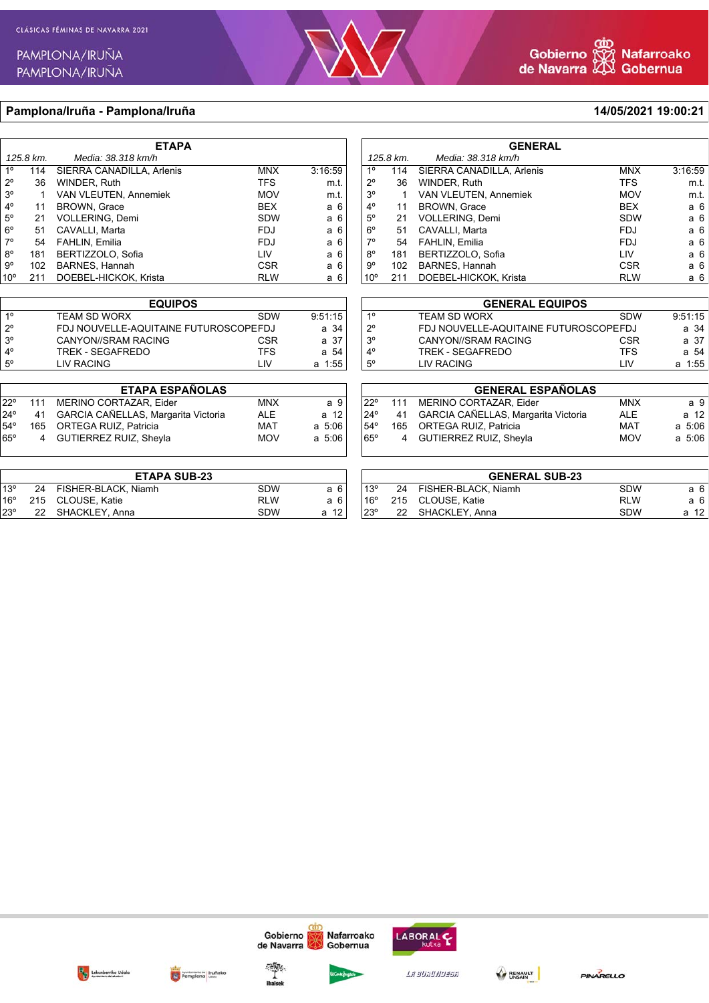

14/05/2021 19:00:21

### Pamplona/Iruña - Pamplona/Iruña

| <b>ETAPA</b>    |           |                           |            |         |  |  |
|-----------------|-----------|---------------------------|------------|---------|--|--|
|                 | 125.8 km. | Media: 38.318 km/h        |            |         |  |  |
| 1 <sup>°</sup>  | 114       | SIERRA CANADILLA, Arlenis | <b>MNX</b> | 3:16:59 |  |  |
| $2^{\circ}$     | 36        | WINDER, Ruth              | <b>TFS</b> | m.t.    |  |  |
| 3 <sup>o</sup>  | 1         | VAN VLEUTEN, Annemiek     | <b>MOV</b> | m.t.    |  |  |
| $4^\circ$       | 11        | <b>BROWN, Grace</b>       | <b>BEX</b> | a 6     |  |  |
| $5^\circ$       | 21        | VOLLERING, Demi           | <b>SDW</b> | a 6     |  |  |
| $6^{\circ}$     | 51        | CAVALLI, Marta            | <b>FDJ</b> | a 6     |  |  |
| $7^\circ$       | 54        | FAHLIN, Emilia            | <b>FDJ</b> | a 6     |  |  |
| $8^{\circ}$     | 181       | BERTIZZOLO, Sofia         | LIV        | a 6     |  |  |
| $9^{\circ}$     | 102       | BARNES, Hannah            | <b>CSR</b> | a 6     |  |  |
| 10 <sup>o</sup> | 211       | DOEBEL-HICKOK, Krista     | <b>RLW</b> | a 6     |  |  |
|                 |           |                           |            |         |  |  |

| <b>EQUIPOS</b> |                                       |            |         |  |  |
|----------------|---------------------------------------|------------|---------|--|--|
| 10             | <b>TEAM SD WORX</b>                   | <b>SDW</b> | 9:51:15 |  |  |
| $2^{\circ}$    | FDJ NOUVELLE-AQUITAINE FUTUROSCOPEFDJ |            |         |  |  |
| $3^{\circ}$    | CANYON//SRAM RACING                   | <b>CSR</b> | a 37    |  |  |
| $4^{\circ}$    | TREK - SEGAFREDO                      | <b>TFS</b> | a 54    |  |  |
| $5^{\circ}$    | <b>LIV RACING</b>                     | l IV       | a 1:55  |  |  |

| <b>ETAPA ESPAÑOLAS</b> |      |                                        |            |             |  |  |  |
|------------------------|------|----------------------------------------|------------|-------------|--|--|--|
| 1220                   |      | 111 MERINO CORTAZAR, Eider             | <b>MNX</b> | a 9         |  |  |  |
| 24°                    |      | 41 GARCIA CAÑELLAS, Margarita Victoria | ALE        | a 12        |  |  |  |
| 54°                    | 165. | ORTEGA RUIZ. Patricia                  | MAT        | a 5:06      |  |  |  |
| $65^\circ$             |      | 4 GUTIERREZ RUIZ, Sheyla               | <b>MOV</b> | $a \, 5:06$ |  |  |  |
|                        |      |                                        |            |             |  |  |  |

| <b>ETAPA SUB-23</b> |  |                        |            |      |  |
|---------------------|--|------------------------|------------|------|--|
| $13^\circ$          |  | 24 FISHER-BLACK, Niamh | <b>SDW</b> | а6   |  |
| 16°                 |  | 215 CLOUSE, Katie      | RI W       | а6   |  |
| $23^{\circ}$        |  | 22 SHACKLEY, Anna      | <b>SDW</b> | a 12 |  |

| <b>GENERAL</b> |           |                              |            |         |  |
|----------------|-----------|------------------------------|------------|---------|--|
|                | 125.8 km. | Media: 38.318 km/h           |            |         |  |
| 10             | 114       | SIERRA CANADILLA, Arlenis    | <b>MNX</b> | 3:16.59 |  |
| 2٥             | 36        | WINDER, Ruth                 | <b>TFS</b> | m.t.    |  |
| 30             |           | <b>VAN VLEUTEN, Annemiek</b> | <b>MOV</b> | m.t.    |  |
| 40             | 11        | BROWN, Grace                 | <b>BEX</b> | а 6     |  |
| 5°             | 21        | VOLLERING, Demi              | <b>SDW</b> | а 6     |  |
| 5°             | 51        | CAVALLI, Marta               | <b>FDJ</b> | а 6     |  |
| 70             | 54        | FAHLIN, Emilia               | <b>FDJ</b> | а 6     |  |
| B٥             | 181       | BERTIZZOLO, Sofia            | LIV        | а 6     |  |
| g٥             | 102       | <b>BARNES, Hannah</b>        | <b>CSR</b> | а 6     |  |
| $0^{\circ}$    | 211       | DOEBEL-HICKOK, Krista        | <b>RLW</b> | а6      |  |

|                | <b>GENERAL EQUIPOS</b>                |            |         |  |  |  |
|----------------|---------------------------------------|------------|---------|--|--|--|
| 10             | <b>TEAM SD WORX</b>                   | <b>SDW</b> | 9:51:15 |  |  |  |
| $2^{\circ}$    | FDJ NOUVELLE-AQUITAINE FUTUROSCOPEFDJ |            | a 34    |  |  |  |
| 3 <sup>o</sup> | CANYON//SRAM RACING                   | <b>CSR</b> | a 37    |  |  |  |
| $4^{\circ}$    | TREK - SEGAFREDO                      | <b>TFS</b> | a 54    |  |  |  |
| $5^{\circ}$    | <b>LIV RACING</b>                     | l IV       | a 1:55  |  |  |  |

|             | <b>GENERAL ESPAÑOLAS</b> |                                     |            |            |  |  |
|-------------|--------------------------|-------------------------------------|------------|------------|--|--|
| $122^\circ$ | 111                      | MERINO CORTAZAR, Eider              | <b>MNX</b> | a 9        |  |  |
| 24°         | 41                       | GARCIA CAÑELLAS, Margarita Victoria | <b>ALE</b> | a 12       |  |  |
| 54°         |                          | 165 ORTEGA RUIZ, Patricia           | MAT        | $a \t5:06$ |  |  |
| 65°         |                          | 4 GUTIERREZ RUIZ, Sheyla            | <b>MOV</b> | $a \t5:06$ |  |  |
|             |                          |                                     |            |            |  |  |

|              | <b>GENERAL SUB-23</b> |                        |            |      |  |  |
|--------------|-----------------------|------------------------|------------|------|--|--|
| $13^{\circ}$ |                       | 24 FISHER-BLACK, Niamh | <b>SDW</b> | а6   |  |  |
| $16^{\circ}$ |                       | 215 CLOUSE, Katie      | <b>RLW</b> | а6   |  |  |
| 23°          |                       | 22 SHACKLEY, Anna      | <b>SDW</b> | a 12 |  |  |







Gobierno

de Navarra



Nafarroako

Gobernua

Lasuauussa

LABORAL C

BENAULT

PINARELLO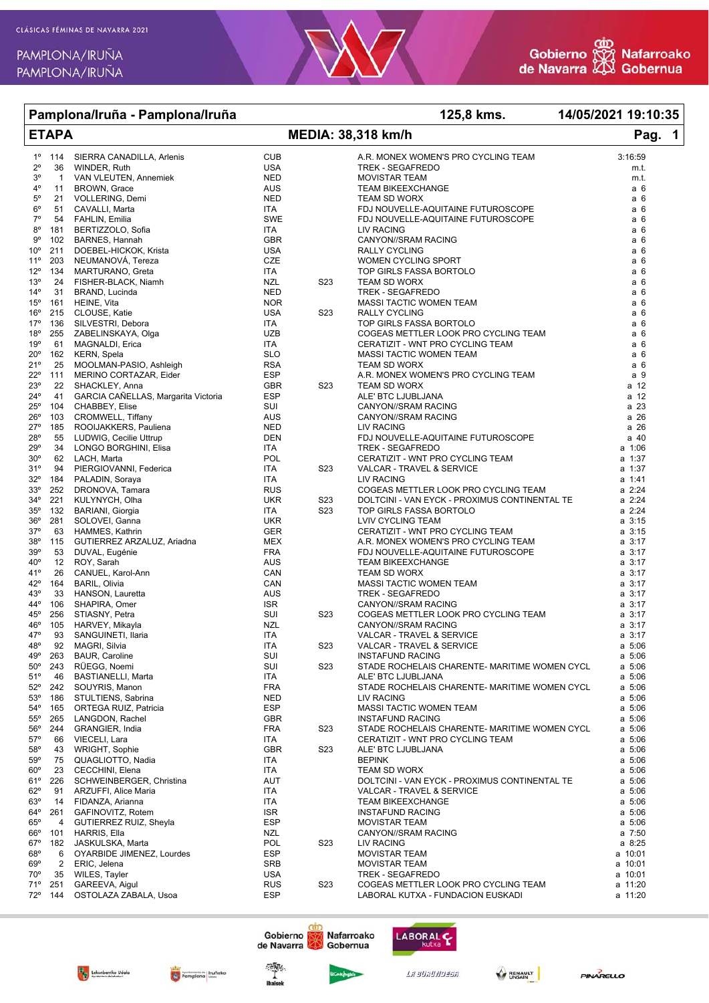| Pamplona/Iruña - Pamplona/Iruña<br><b>ETAPA</b> |                |                                      |                   |                  | 125,8 kms.                                                          | 14/05/2021 19:10:35 |  |
|-------------------------------------------------|----------------|--------------------------------------|-------------------|------------------|---------------------------------------------------------------------|---------------------|--|
|                                                 |                |                                      |                   |                  | MEDIA: 38,318 km/h                                                  | Pag. 1              |  |
| $1^{\circ}$                                     | 114            | SIERRA CANADILLA, Arlenis            | <b>CUB</b>        |                  | A.R. MONEX WOMEN'S PRO CYCLING TEAM                                 | 3:16:59             |  |
| $2^{\circ}$                                     | 36             | WINDER, Ruth                         | <b>USA</b>        |                  | <b>TREK - SEGAFREDO</b>                                             | m.t.                |  |
| $3^{\circ}$                                     | $\mathbf{1}$   | VAN VLEUTEN, Annemiek                | <b>NED</b>        |                  | <b>MOVISTAR TEAM</b>                                                | m.t.                |  |
| 4°                                              | 11             | BROWN, Grace                         | AUS               |                  | <b>TEAM BIKEEXCHANGE</b>                                            | a 6                 |  |
| $5^{\circ}$                                     | 21             | VOLLERING, Demi                      | <b>NED</b>        |                  | <b>TEAM SD WORX</b>                                                 | a 6                 |  |
| $6^{\circ}$                                     | 51             | CAVALLI, Marta                       | ITA               |                  | FDJ NOUVELLE-AQUITAINE FUTUROSCOPE                                  | a 6                 |  |
| $7^\circ$                                       | 54             | FAHLIN, Emilia                       | SWE               |                  | FDJ NOUVELLE-AQUITAINE FUTUROSCOPE                                  | a 6                 |  |
| $8^{\circ}$                                     | 181            | BERTIZZOLO, Sofia                    | ITA               |                  | <b>LIV RACING</b>                                                   | a 6                 |  |
| $9^{\circ}$                                     | 102            | BARNES, Hannah                       | <b>GBR</b>        |                  | CANYON//SRAM RACING                                                 | a 6                 |  |
| $10^{\circ}$                                    | 211            | DOEBEL-HICKOK, Krista                | <b>USA</b>        |                  | RALLY CYCLING                                                       | а6                  |  |
| $11^{\circ}$                                    | 203            | NEUMANOVÁ, Tereza                    | CZE               |                  | WOMEN CYCLING SPORT                                                 | a 6                 |  |
| $12^{\circ}$                                    | 134            | MARTURANO, Greta                     | <b>ITA</b>        |                  | TOP GIRLS FASSA BORTOLO                                             | a 6                 |  |
| 13 <sup>°</sup>                                 | 24             | FISHER-BLACK, Niamh                  | <b>NZL</b>        | S <sub>2</sub> 3 | TEAM SD WORX                                                        | a 6                 |  |
| $14^{\circ}$                                    | 31             | BRAND, Lucinda                       | <b>NED</b>        |                  | <b>TREK - SEGAFREDO</b>                                             | a 6                 |  |
| $15^{\circ}$                                    | 161            | HEINE, Vita                          | <b>NOR</b>        |                  | MASSI TACTIC WOMEN TEAM                                             | a 6                 |  |
| $16^{\circ}$<br>17°                             | 215<br>136     | CLOUSE, Katie<br>SILVESTRI, Debora   | USA<br>ITA        | S <sub>2</sub> 3 | <b>RALLY CYCLING</b><br>TOP GIRLS FASSA BORTOLO                     | a 6<br>a 6          |  |
| $18^{\circ}$                                    | 255            | ZABELINSKAYA, Olga                   | <b>UZB</b>        |                  | COGEAS METTLER LOOK PRO CYCLING TEAM                                | a 6                 |  |
| 19°                                             | 61             | MAGNALDI, Erica                      | ITA               |                  | CERATIZIT - WNT PRO CYCLING TEAM                                    | a 6                 |  |
| $20^{\circ}$                                    | 162            | KERN, Spela                          | <b>SLO</b>        |                  | MASSI TACTIC WOMEN TEAM                                             | a 6                 |  |
| 21°                                             | 25             | MOOLMAN-PASIO, Ashleigh              | <b>RSA</b>        |                  | <b>TEAM SD WORX</b>                                                 | a 6                 |  |
| $22^{\circ}$                                    | 111            | MERINO CORTAZAR, Eider               | <b>ESP</b>        |                  | A.R. MONEX WOMEN'S PRO CYCLING TEAM                                 | a 9                 |  |
| 23°                                             | 22             | SHACKLEY, Anna                       | <b>GBR</b>        | S <sub>2</sub> 3 | <b>TEAM SD WORX</b>                                                 | a 12                |  |
| $24^{\circ}$                                    | 41             | GARCIA CAÑELLAS, Margarita Victoria  | <b>ESP</b>        |                  | ALE' BTC LJUBLJANA                                                  | a 12                |  |
| $25^{\circ}$                                    | 104            | CHABBEY, Elise                       | SUI               |                  | CANYON//SRAM RACING                                                 | a 23                |  |
| $26^{\circ}$                                    | 103            | CROMWELL, Tiffany                    | AUS               |                  | CANYON//SRAM RACING                                                 | a 26                |  |
| $27^{\circ}$                                    | 185            | ROOIJAKKERS, Pauliena                | NED               |                  | LIV RACING                                                          | a 26                |  |
| $28^{\circ}$                                    | 55             | LUDWIG, Cecilie Uttrup               | DEN               |                  | FDJ NOUVELLE-AQUITAINE FUTUROSCOPE                                  | a 40                |  |
| 29°                                             | 34             | LONGO BORGHINI, Elisa                | ITA               |                  | <b>TREK - SEGAFREDO</b>                                             | a 1:06              |  |
| $30^{\circ}$                                    | 62             | LACH, Marta                          | POL               |                  | CERATIZIT - WNT PRO CYCLING TEAM                                    | a 1:37              |  |
| 31°                                             | 94             | PIERGIOVANNI, Federica               | <b>ITA</b>        | S <sub>2</sub> 3 | VALCAR - TRAVEL & SERVICE                                           | a 1:37              |  |
| $32^{\circ}$                                    | 184            | PALADIN, Soraya                      | <b>ITA</b>        |                  | LIV RACING                                                          | a 1:41              |  |
| 33 <sup>o</sup>                                 | 252            | DRONOVA, Tamara                      | <b>RUS</b>        |                  | COGEAS METTLER LOOK PRO CYCLING TEAM                                | a 2:24              |  |
| $34^\circ$                                      | 221            | KULYNYCH, Olha                       | <b>UKR</b>        | S <sub>2</sub> 3 | DOLTCINI - VAN EYCK - PROXIMUS CONTINENTAL TE                       | a 2:24              |  |
| $35^{\circ}$                                    | 132            | BARIANI, Giorgia                     | ITA               | S <sub>2</sub> 3 | TOP GIRLS FASSA BORTOLO                                             | a 2:24              |  |
| $36^{\circ}$                                    | 281            | SOLOVEI, Ganna                       | UKR               |                  | LVIV CYCLING TEAM                                                   | $a \, 3:15$         |  |
| $37^\circ$                                      | 63             | HAMMES, Kathrin                      | GER               |                  | CERATIZIT - WNT PRO CYCLING TEAM                                    | $a \, 3:15$         |  |
| $38^{\circ}$                                    | 115            | GUTIERREZ ARZALUZ, Ariadna           | MEX               |                  | A.R. MONEX WOMEN'S PRO CYCLING TEAM                                 | $a \, 3:17$         |  |
| 39°                                             | 53             | DUVAL, Eugénie                       | <b>FRA</b>        |                  | FDJ NOUVELLE-AQUITAINE FUTUROSCOPE                                  | $a \, 3:17$         |  |
| $40^{\circ}$                                    | 12             | ROY, Sarah                           | AUS               |                  | <b>TEAM BIKEEXCHANGE</b>                                            | $a \, 3:17$         |  |
| 41°                                             | 26             | CANUEL, Karol-Ann                    | CAN               |                  | <b>TEAM SD WORX</b>                                                 | $a \, 3:17$         |  |
| $42^{\circ}$                                    | 164            | <b>BARIL, Olivia</b>                 | CAN               |                  | MASSI TACTIC WOMEN TEAM                                             | $a \, 3:17$         |  |
| 43°                                             | 33             | HANSON, Lauretta                     | AUS               |                  | <b>TREK - SEGAFREDO</b>                                             | $a \, 3:17$         |  |
| 44°                                             | 106            | SHAPIRA, Omer                        | ISR               |                  | CANYON//SRAM RACING                                                 | $a \, 3:17$         |  |
| $45^{\circ}$                                    | 256            | STIASNY, Petra                       | SUI               | S23              | COGEAS METTLER LOOK PRO CYCLING TEAM                                | $a \, 3:17$         |  |
| $46^{\circ}$                                    | 105            | HARVEY, Mikayla                      | <b>NZL</b>        |                  | CANYON//SRAM RACING                                                 | $a \, 3:17$         |  |
| 47°                                             | 93             | SANGUINETI, Ilaria                   | <b>ITA</b>        |                  | VALCAR - TRAVEL & SERVICE                                           | $a \, 3:17$         |  |
| $48^{\circ}$                                    | 92             | MAGRI, Silvia                        | ITA               | S23              | VALCAR - TRAVEL & SERVICE                                           | a 5:06              |  |
| 49°                                             | 263            | <b>BAUR, Caroline</b>                | SUI<br>SUI        |                  | <b>INSTAFUND RACING</b>                                             | a 5:06              |  |
| $50^\circ$<br>51°                               | 243            | RÜEGG, Noemi                         |                   | S <sub>2</sub> 3 | STADE ROCHELAIS CHARENTE- MARITIME WOMEN CYCL                       | a 5:06              |  |
| $52^\circ$                                      | 46<br>242      | BASTIANELLI, Marta<br>SOUYRIS, Manon | ITA<br><b>FRA</b> |                  | ALE' BTC LJUBLJANA<br>STADE ROCHELAIS CHARENTE- MARITIME WOMEN CYCL | a 5:06<br>a 5:06    |  |
| 53°                                             | 186            | STULTIENS, Sabrina                   | <b>NED</b>        |                  | <b>LIV RACING</b>                                                   | a 5:06              |  |
| $54^{\circ}$                                    | 165            | ORTEGA RUIZ, Patricia                | <b>ESP</b>        |                  | MASSI TACTIC WOMEN TEAM                                             | a 5:06              |  |
| $55^{\circ}$                                    | 265            | LANGDON, Rachel                      | GBR               |                  | <b>INSTAFUND RACING</b>                                             | a 5:06              |  |
| $56^{\circ}$                                    | 244            | GRANGIER, India                      | <b>FRA</b>        | S <sub>2</sub> 3 | STADE ROCHELAIS CHARENTE- MARITIME WOMEN CYCL                       | a 5:06              |  |
| $57^\circ$                                      | 66             | VIECELI, Lara                        | ITA               |                  | CERATIZIT - WNT PRO CYCLING TEAM                                    | a 5:06              |  |
| 58°                                             | 43             | WRIGHT, Sophie                       | <b>GBR</b>        | S <sub>2</sub> 3 | ALE' BTC LJUBLJANA                                                  | a 5:06              |  |
| 59°                                             | 75             | QUAGLIOTTO, Nadia                    | ITA               |                  | <b>BEPINK</b>                                                       | a 5:06              |  |
| $60^{\circ}$                                    | 23             | CECCHINI, Elena                      | ITA               |                  | TEAM SD WORX                                                        | a 5:06              |  |
| 61°                                             | 226            | SCHWEINBERGER, Christina             | AUT               |                  | DOLTCINI - VAN EYCK - PROXIMUS CONTINENTAL TE                       | a 5:06              |  |
| $62^\circ$                                      | 91             | ARZUFFI, Alice Maria                 | ITA               |                  | VALCAR - TRAVEL & SERVICE                                           | a 5:06              |  |
| 63°                                             | 14             | FIDANZA, Arianna                     | ITA               |                  | <b>TEAM BIKEEXCHANGE</b>                                            | a 5:06              |  |
| $64^{\circ}$                                    | 261            | GAFINOVITZ, Rotem                    | <b>ISR</b>        |                  | <b>INSTAFUND RACING</b>                                             | a 5:06              |  |
| $65^\circ$                                      | $\overline{4}$ | GUTIERREZ RUIZ, Sheyla               | <b>ESP</b>        |                  | <b>MOVISTAR TEAM</b>                                                | a 5:06              |  |
| $66^{\circ}$                                    | 101            | HARRIS, Ella                         | NZL               |                  | CANYON//SRAM RACING                                                 | a 7:50              |  |
| $67^\circ$                                      | 182            | JASKULSKA, Marta                     | <b>POL</b>        | S <sub>2</sub> 3 | LIV RACING                                                          | a 8:25              |  |
| $68^\circ$                                      | 6              | OYARBIDE JIMENEZ, Lourdes            | <b>ESP</b>        |                  | <b>MOVISTAR TEAM</b>                                                | a 10:01             |  |
| $69^\circ$                                      | 2              | ERIC, Jelena                         | SRB               |                  | <b>MOVISTAR TEAM</b>                                                | a 10:01             |  |
| $70^{\circ}$                                    | 35             | WILES, Tayler                        | USA               |                  | TREK - SEGAFREDO                                                    | a 10:01             |  |
| 71°                                             | 251            | GAREEVA, Aigul                       | <b>RUS</b>        | S23              | COGEAS METTLER LOOK PRO CYCLING TEAM                                | a 11:20             |  |
| $72^{\circ}$                                    | 144            | OSTOLAZA ZABALA, Usoa                | ESP               |                  | LABORAL KUTXA - FUNDACION EUSKADI                                   | a 11:20             |  |

72° 144 OSTOLAZA ZABALA, Usoa













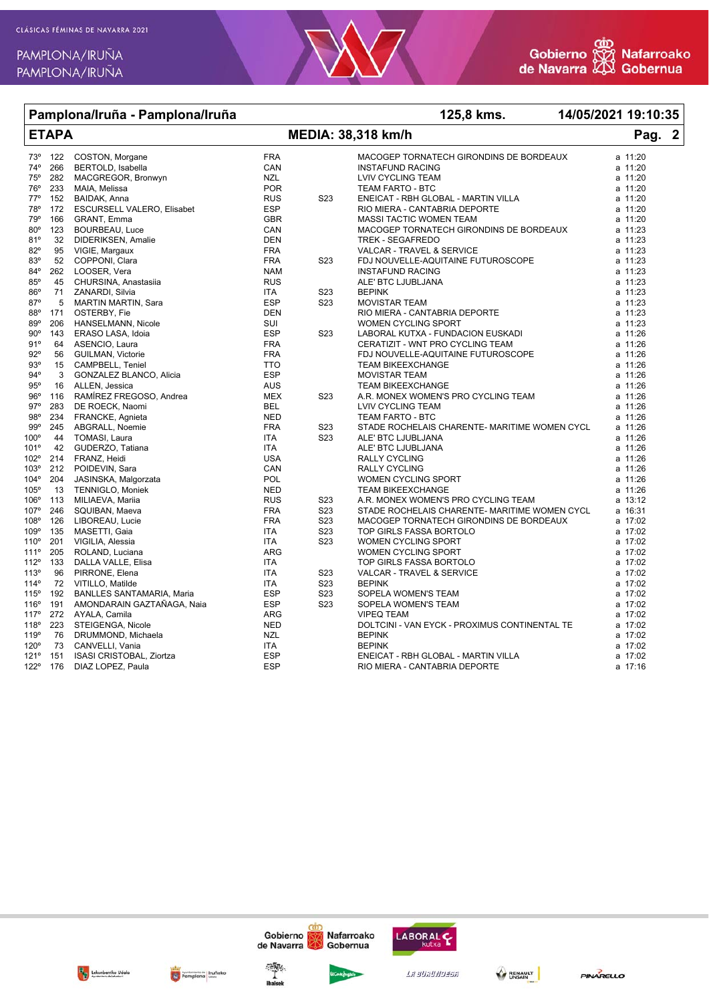

### Pamplona/Iruña - Pamplona/Iruña 125.8 kms. 14/05/2021 19:10:35 **ETAPA** Pag. **MEDIA: 38,318 km/h**  $\boldsymbol{2}$ COSTON, Morgane  $73<sup>°</sup>$ 122 **FRA** MACOGEP TORNATECH GIRONDINS DE BORDEAUX a 11:20  $74°$ 266 BERTOLD, Isabella CAN **INSTAFUND RACING**  $a$  11:20  $75°$ MACGREGOR, Bronwyn **NZL LVIV CYCLING TEAM** a 11:20 282  $76^\circ$ 233 POR TEAM FARTO - BTC  $a$  11:20 MAIA, Melissa 770 152 BAIDAK, Anna **RUS** S23 ENEICAT - RBH GLOBAL - MARTIN VILLA  $a$  11.20 78° 172 ESCURSELL VALERO, Elisabet **FSP** RIO MIERA - CANTABRIA DEPORTE a 11:20 **79°** 166 **GRANT, Emma** GBR MASSI TACTIC WOMEN TEAM  $a$  11.20  $80^\circ$ **BOURBEAU, Luce** CAN MACOGEP TORNATECH GIRONDINS DE BORDEAUX a 11:23 123  $a$  11:23  $81°$ 32 DIDERIKSEN, Amalie **DEN** TREK - SEGAFREDO 82° VALCAR - TRAVEL & SERVICE 95 VIGIE, Margaux **FRA** a 11:23 83° 52 COPPONI, Clara **FRA** S23 FDJ NOUVELLE-AQUITAINE FUTUROSCOPE a 11:23  $84^\circ$  $262$ LOOSER, Vera **NAM INSTAFUND RACING** a 11:23 ALE' BTC LJUBLJANA  $85<sup>c</sup>$ CHURSINA, Anastasija **RUS** 45  $a$  11:23 86° **ZANARDI Silvia** S<sub>23</sub> **BEPINK**  $71$ **ITA** a 11:23 870 MARTIN MARTIN Sara ESP **MOVISTAR TEAM**  $\sqrt{2}$  $S23$  $2, 11.23$ RIO MIERA - CANTABRIA DEPORTE 88° 171 OSTERBY, Fie **DEN**  $a$  11:23  $89°$ HANSELMANN, Nicole SUI WOMEN CYCLING SPORT a 11:23 206  $90^{\circ}$ 143 ERASO LASA, Idoia **ESP** S<sub>23</sub> LABORAL KUTXA - FUNDACION EUSKADI a 11:26 CERATIZIT - WNT PRO CYCLING TEAM  $91°$ 64 ASENCIO, Laura **FRA**  $a$  11:26  $92^\circ$ GUILMAN, Victorie FDJ NOUVELLE-AQUITAINE FUTUROSCOPE a 11:26 56 **FRA** CAMPBELL, Teniel  $93°$ 15 **TTO TEAM BIKEEXCHANGE**  $a$  11:26  $94^{\circ}$ GONZALEZ BLANCO Alicia **MOVISTAR TEAM FSP**  $a$  11:26 3  $95^\circ$ **TFAM BIKFFXCHANGF** 16 ALLEN Jessica **AUS**  $a$  11:26 RAMÍREZ FREGOSO, Andrea A.R. MONEX WOMEN'S PRO CYCLING TEAM  $960$ 116 **MFX** S<sub>23</sub> a 11:26  $97^\circ$ 283 DE ROECK, Naomi **BFI** LVIV CYCLING TEAM a 11:26  $QQ^0$  $221$ FRANCKE, Agnieta **NED** TFAM FARTO - RTC  $a$  11:26  $99°$ 245 ABGRALL, Noemie **FRA**  $S23$ STADE ROCHELAIS CHARENTE- MARITIME WOMEN CYCL a 11:26 100° 44 TOMASI, Laura **ITA** S<sub>23</sub> ALE' BTC LJUBLJANA a 11:26 101°  $42$ GUDERZO, Tatiana **ITA** ALE' BTC LJUBLJANA  $a$  11:26 102° 214 FRANZ, Heidi **USA RALLY CYCLING** a 11:26 103° POIDEVIN, Sara **RALLY CYCLING** CAN  $a$  11:26 212  $104^{\circ}$ .IASINSKA. Malgorzata POL WOMEN CYCLING SPORT  $a$  11:26  $204$ 105°  $13$ TENNIGLO, Moniek **NFD TFAM BIKFFXCHANGF**  $a$  11:26  $106<sup>o</sup>$  $S23$ A.R. MONEX WOMEN'S PRO CYCLING TEAM  $113$ MILIAEVA, Mariia **RUS**  $a$  13:12 107° 246 SOUIBAN, Maeva **FRA** S<sub>23</sub> STADE ROCHELAIS CHARENTE- MARITIME WOMEN CYCL  $a$  16:31 108° 126 LIBOREAU, Lucie **FRA S23** MACOGEP TORNATECH GIRONDINS DE BORDEAUX a 17:02 109° MASETTI, Gaia  $S23$ TOP GIRLS FASSA BORTOLO a 17:02 135 **ITA** WOMEN CYCLING SPORT  $110^{\circ}$ 201 VIGILIA, Alessia **ITA** S<sub>23</sub>  $a$  17:02  $111°$ ROLAND, Luciana WOMEN CYCLING SPORT 205 **ARG** a 17:02  $112°$ TOP GIRLS FASSA BORTOLO 133 DALLA VALLE Flisa  $a$  17:02 **ITA** 113°  $S23$ VALCAR - TRAVEL & SERVICE PIRRONE Flena  $a$  17:02 96 **ITA**  $114^{\circ}$ 72 VITILLO Matilde **ITA** S<sub>23</sub> **BEPINK**  $a$  17:02  $115^{\circ}$ **BANLLES SANTAMARIA, Maria** SOPELA WOMEN'S TEAM 192 ESP S23 a 17:02  $116°$ 191 AMONDARAIN GAZTAÑAGA, Naia ESP S<sub>23</sub> SOPELA WOMEN'S TEAM a 17:02 117° 272 AYALA, Camila **ARG VIPEO TEAM**  $a$  17:02 118<sup>°</sup> STEIGENGA, Nicole **NED** DOLTCINI - VAN EYCK - PROXIMUS CONTINENTAL TE a 17:02 223 119° 76 DRUMMOND, Michaela **N71 REPINK**  $a$  17:02 120°  $73$ CANVELLI, Vania **ITA BEPINK**  $a$  17:02  $121°$ **ISASI CRISTOBAL, Ziortza** ESP ENEICAT - RBH GLOBAL - MARTIN VILLA  $a$  17:02 151 1220 DIAZ LOPEZ, Paula **FSP** RIO MIERA - CANTABRIA DEPORTE 176 a 17:16







Gobierno

de Navarra



Nafarroako

Gobernua

La auauwuasa

**LABORAL** 

RENAULT

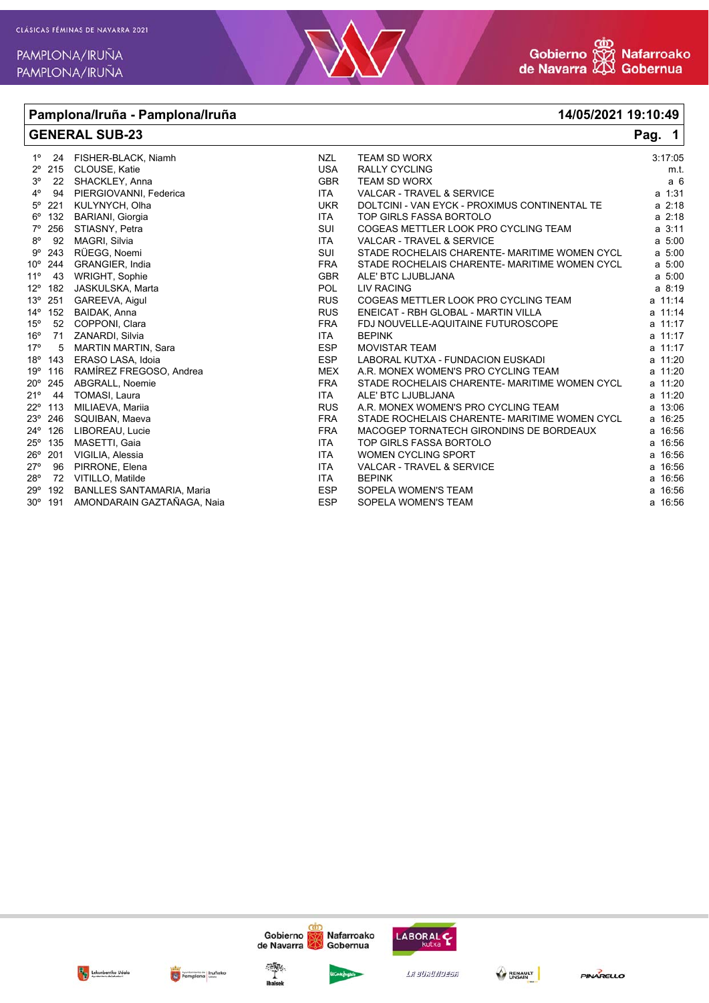



# **Pamplona/Iruña - Pamplona/Iruña 14/05/2021 19:10:49**

| <b>GENERAL SUB-23</b> |                  |                                  |            | Pag. $1$                                      |                |
|-----------------------|------------------|----------------------------------|------------|-----------------------------------------------|----------------|
| $1^{\circ}$           |                  | 24 FISHER-BLACK, Niamh           | <b>NZL</b> | <b>TEAM SD WORX</b>                           | 3:17:05        |
| $2^{\circ}$           | 215              | CLOUSE, Katie                    | <b>USA</b> | <b>RALLY CYCLING</b>                          | m.t.           |
| 3 <sup>o</sup>        | 22               | SHACKLEY, Anna                   | <b>GBR</b> | <b>TEAM SD WORX</b>                           | a <sub>6</sub> |
| $4^{\circ}$           | 94               | PIERGIOVANNI, Federica           | <b>ITA</b> | VALCAR - TRAVEL & SERVICE                     | a 1:31         |
| $5^{\circ}$           | 221              | KULYNYCH, Olha                   | <b>UKR</b> | DOLTCINI - VAN EYCK - PROXIMUS CONTINENTAL TE | $a \, 2:18$    |
|                       | $6^{\circ}$ 132  | <b>BARIANI, Giorgia</b>          | ITA        | TOP GIRLS FASSA BORTOLO                       | $a \, 2:18$    |
| 7°                    | 256              | STIASNY, Petra                   | SUI        | COGEAS METTLER LOOK PRO CYCLING TEAM          | $a \, 3:11$    |
| $8^{\circ}$           | 92               | MAGRI, Silvia                    | <b>ITA</b> | <b>VALCAR - TRAVEL &amp; SERVICE</b>          | a 5:00         |
| $9^{\circ}$           | 243              | RÜEGG, Noemi                     | SUI        | STADE ROCHELAIS CHARENTE- MARITIME WOMEN CYCL | a 5:00         |
| $10^{\circ}$          | 244              | GRANGIER, India                  | <b>FRA</b> | STADE ROCHELAIS CHARENTE- MARITIME WOMEN CYCL | a 5:00         |
| $11^{\circ}$          | 43               | <b>WRIGHT, Sophie</b>            | <b>GBR</b> | ALE' BTC LJUBLJANA                            | a 5:00         |
| $12^{\circ}$          | 182              | JASKULSKA, Marta                 | <b>POL</b> | LIV RACING                                    | a 8:19         |
| $13^\circ$            | 251              | GAREEVA, Aigul                   | <b>RUS</b> | COGEAS METTLER LOOK PRO CYCLING TEAM          | a 11:14        |
| $14^{\circ}$          | 152              | BAIDAK, Anna                     | <b>RUS</b> | ENEICAT - RBH GLOBAL - MARTIN VILLA           | a 11:14        |
| $15^{\circ}$          | 52               | COPPONI, Clara                   | <b>FRA</b> | FDJ NOUVELLE-AQUITAINE FUTUROSCOPE            | a 11:17        |
| 16 <sup>o</sup>       | 71               | ZANARDI, Silvia                  | <b>ITA</b> | <b>BEPINK</b>                                 | a 11:17        |
| 17°                   | 5                | <b>MARTIN MARTIN, Sara</b>       | <b>ESP</b> | <b>MOVISTAR TEAM</b>                          | a 11:17        |
| $18^{\circ}$          | 143              | ERASO LASA, Idoia                | <b>ESP</b> | LABORAL KUTXA - FUNDACION EUSKADI             | a 11:20        |
| 19°                   | 116              | RAMÍREZ FREGOSO, Andrea          | <b>MEX</b> | A.R. MONEX WOMEN'S PRO CYCLING TEAM           | a 11:20        |
| $20^{\circ}$          | 245              | ABGRALL, Noemie                  | <b>FRA</b> | STADE ROCHELAIS CHARENTE- MARITIME WOMEN CYCL | a 11:20        |
| 21°                   | 44               | TOMASI, Laura                    | <b>ITA</b> | ALE' BTC LJUBLJANA                            | a 11:20        |
| $22^{\circ}$          | 113              | MILIAEVA, Mariia                 | <b>RUS</b> | A.R. MONEX WOMEN'S PRO CYCLING TEAM           | a 13:06        |
|                       | $23^{\circ}$ 246 | SQUIBAN, Maeva                   | <b>FRA</b> | STADE ROCHELAIS CHARENTE- MARITIME WOMEN CYCL | a 16:25        |
|                       | 24° 126          | LIBOREAU, Lucie                  | <b>FRA</b> | MACOGEP TORNATECH GIRONDINS DE BORDEAUX       | a 16:56        |
|                       | 25° 135          | MASETTI, Gaia                    | <b>ITA</b> | TOP GIRLS FASSA BORTOLO                       | a 16:56        |
| $26^{\circ}$          | 201              | VIGILIA, Alessia                 | <b>ITA</b> | <b>WOMEN CYCLING SPORT</b>                    | a 16:56        |
| $27^\circ$            | 96               | PIRRONE, Elena                   | <b>ITA</b> | VALCAR - TRAVEL & SERVICE                     | a 16:56        |
| $28^{\circ}$          | 72               | VITILLO, Matilde                 | ITA        | <b>BEPINK</b>                                 | a 16:56        |
| $29^{\circ}$          | 192              | <b>BANLLES SANTAMARIA, Maria</b> | <b>ESP</b> | SOPELA WOMEN'S TEAM                           | a 16:56        |
|                       | $30^{\circ}$ 191 | AMONDARAIN GAZTAÑAGA, Naia       | <b>ESP</b> | SOPELA WOMEN'S TEAM                           | a 16:56        |





Gobierno



Nafarroako

cár

LABORAL C

La suaunussa BENAULT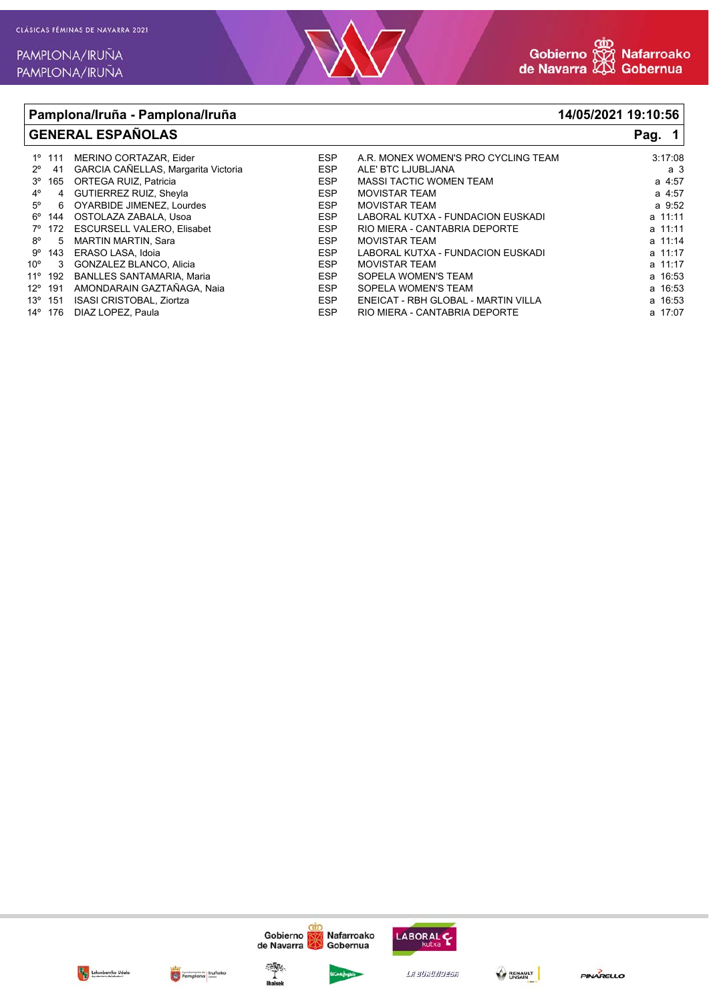

## **Pamplona/Iruña - Pamplona/Iruña 14/05/2021 19:10:56 GENERAL ESPAÑOLAS Pag. 1** 1º 111 MERINO CORTAZAR, Eider ESP A.R. MONEX WOMEN'S PRO CYCLING TEAM 3:17:08 2º 41 GARCIA CAÑELLAS, Margarita Victoria ESP ALE' BTC LJUBLJANA a 3

|             | 3º 165 ORTEGA RUIZ, Patricia       | <b>ESP</b> | <b>MASSI TACTIC WOMEN TEAM</b>      | a 4:57  |
|-------------|------------------------------------|------------|-------------------------------------|---------|
| $4^\circ$   | 4 GUTIERREZ RUIZ, Sheyla           | ESP        | <b>MOVISTAR TEAM</b>                | a 4:57  |
| $5^\circ$   | 6 OYARBIDE JIMENEZ, Lourdes        | ESP        | <b>MOVISTAR TEAM</b>                | a 9:52  |
|             | 6° 144 OSTOLAZA ZABALA, Usoa       | ESP        | LABORAL KUTXA - FUNDACION EUSKADI   | a 11:11 |
|             | 7º 172 ESCURSELL VALERO, Elisabet  | ESP        | RIO MIERA - CANTABRIA DEPORTE       | a 11:11 |
| $8^{\circ}$ | 5 MARTIN MARTIN, Sara              | <b>ESP</b> | <b>MOVISTAR TEAM</b>                | a 11:14 |
|             | 9° 143 ERASO LASA, Idoia           | <b>ESP</b> | LABORAL KUTXA - FUNDACION EUSKADI   | a 11:17 |
|             | 10° 3 GONZALEZ BLANCO, Alicia      | ESP        | <b>MOVISTAR TEAM</b>                | a 11:17 |
|             | 11º 192 BANLLES SANTAMARIA, Maria  | <b>ESP</b> | SOPELA WOMEN'S TEAM                 | a 16:53 |
|             | 12º 191 AMONDARAIN GAZTAÑAGA, Naia | ESP        | SOPELA WOMEN'S TEAM                 | a 16:53 |
|             | 13º 151 ISASI CRISTOBAL, Ziortza   | ESP        | ENEICAT - RBH GLOBAL - MARTIN VILLA | a 16:53 |
|             | 14° 176 DIAZ LOPEZ, Paula          | ESP        | RIO MIERA - CANTABRIA DEPORTE       | a 17:07 |















La suauwussa